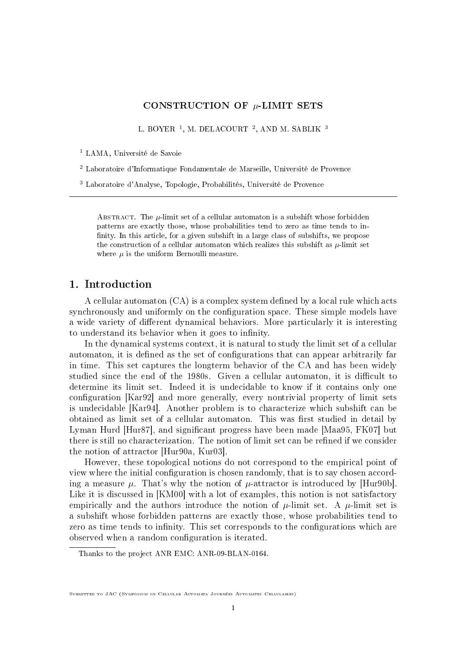# CONSTRUCTION OF  $\mu$ -LIMIT SETS

L. BOYER<sup>1</sup>, M. DELACOURT<sup>2</sup>, AND M. SABLIK<sup>3</sup>

<sup>1</sup> LAMA, Université de Savoie

<sup>2</sup> Laboratoire d'Informatique Fondamentale de Marseille, Université de Provence

<sup>3</sup> Laboratoire d'Analyse, Topologie, Probabilités, Université de Provence

ABSTRACT. The  $\mu$ -limit set of a cellular automaton is a subshift whose forbidden patterns are exactly those, whose probabilities tend to zero as time tends to in finity. In this article, for a given subshift in a large class of subshifts, we propose the construction of a cellular automaton which realizes this subshift as  $\mu$ -limit set where  $\mu$  is the uniform Bernoulli measure.

# 1. Introduction

A cellular automaton  $(CA)$  is a complex system defined by a local rule which acts synchronously and uniformly on the configuration space. These simple models have a wide variety of different dynamical behaviors. More particularly it is interesting to understand its behavior when it goes to infinity.

In the dynamical systems context, it is natural to study the limit set of a cellular automaton, it is defined as the set of configurations that can appear arbitrarily far in time. This set captures the longterm behavior of the CA and has been widely studied since the end of the 1980s. Given a cellular automaton, it is difficult to determine its limit set. Indeed it is undecidable to know if it contains only one configuration [Kar92] and more generally, every nontrivial property of limit sets is undecidable [Kar94]. Another problem is to characterize which subshift can be obtained as limit set of a cellular automaton. This was first studied in detail by Lyman Hurd [Hur87], and significant progress have been made [Maa95, FK07] but there is still no characterization. The notion of limit set can be refined if we consider the notion of attractor [Hur90a, Kur03].

However, these topological notions do not correspond to the empirical point of view where the initial configuration is chosen randomly, that is to say chosen according a measure  $\mu$ . That's why the notion of  $\mu$ -attractor is introduced by [Hur90b]. Like it is discussed in [KM00] with a lot of examples, this notion is not satisfactory empirically and the authors introduce the notion of  $\mu$ -limit set. A  $\mu$ -limit set is a subshift whose forbidden patterns are exactly those, whose probabilities tend to zero as time tends to infinity. This set corresponds to the configurations which are observed when a random configuration is iterated.

Thanks to the project ANR EMC: ANR-09-BLAN-0164.

Submitted to JAC (Symposium on Cellular Automata Journées Automates Cellulaires)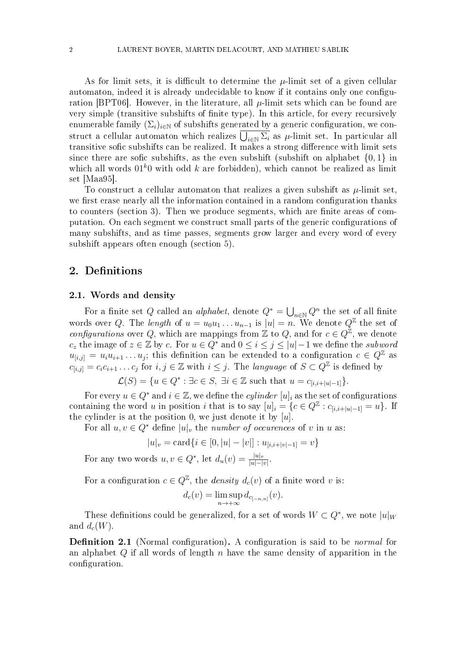As for limit sets, it is difficult to determine the  $\mu$ -limit set of a given cellular automaton, indeed it is already undecidable to know if it contains only one configuration [BPT06]. However, in the literature, all  $\mu$ -limit sets which can be found are very simple (transitive subshifts of finite type). In this article, for every recursively enumerable family  $(\Sigma_i)_{i\in\mathbb{N}}$  of subshifts generated by a generic configuration, we construct a cellular automaton which realizes  $\bigcup_{i\in\mathbb{N}}\Sigma_i$  as  $\mu$ -limit set. In particular all transitive sofic subshifts can be realized. It makes a strong difference with limit sets since there are sofic subshifts, as the even subshift (subshift on alphabet  $\{0, 1\}$  in which all words  $01^k0$  with odd k are forbidden), which cannot be realized as limit set [Maa95].

To construct a cellular automaton that realizes a given subshift as  $\mu$ -limit set. we first erase nearly all the information contained in a random configuration thanks to counters (section 3). Then we produce segments, which are finite areas of computation. On each segment we construct small parts of the generic configurations of many subshifts, and as time passes, segments grow larger and every word of every subshift appears often enough (section 5).

# 2. Definitions

#### 2.1. Words and density

For a finite set Q called an *alphabet*, denote  $Q^* = \bigcup_{n \in \mathbb{N}} Q^n$  the set of all finite words over Q. The length of  $u = u_0 u_1 \ldots u_{n-1}$  is  $|u| = n$ . We denote  $Q^{\mathbb{Z}}$  the set of configurations over Q, which are mappings from  $\mathbb Z$  to Q, and for  $c \in Q^{\mathbb Z}$ , we denote c<sub>z</sub> the image of  $z \in \mathbb{Z}$  by c. For  $u \in Q^*$  and  $0 \leq i \leq j \leq |u|-1$  we define the subword  $u_{[i,j]} = u_i u_{i+1} \dots u_j$ ; this definition can be extended to a configuration  $c \in Q^{\mathbb{Z}}$  as  $c_{[i,j]} = c_i c_{i+1} \ldots c_j$  for  $i, j \in \mathbb{Z}$  with  $i \leq j$ . The language of  $S \subset Q^{\mathbb{Z}}$  is defined by

$$
\mathcal{L}(S) = \{ u \in Q^* : \exists c \in S, \exists i \in \mathbb{Z} \text{ such that } u = c_{[i,i+|u|-1]} \}.
$$

For every  $u \in Q^*$  and  $i \in \mathbb{Z}$ , we define the *cylinder*  $[u]_i$  as the set of configurations containing the word u in position i that is to say  $[u]_i = \{c \in Q^{\mathbb{Z}} : c_{[i,i+|u|-1]} = u\}$ . If the cylinder is at the position 0, we just denote it by  $[u]$ .

For all  $u, v \in Q^*$  define  $|u|_v$ , the number of occurences of v in u as:

$$
|u|_{v} = \text{card}\{i \in [0, |u| - |v|] : u_{[i,i+|v|-1]} = v\}
$$

For any two words  $u, v \in Q^*$ , let  $d_u(v) = \frac{|u|_v}{|u| - |v|}$ .

For a configuration  $c \in Q^{\mathbb{Z}}$ , the *density*  $d_c(v)$  of a finite word v is:

$$
d_c(v) = \limsup_{n \to +\infty} d_{c_{[-n,n]}}(v).
$$

These definitions could be generalized, for a set of words  $W\subset Q^*,$  we note  $|u|_W$ and  $d_c(W)$ .

**Definition 2.1** (Normal configuration). A configuration is said to be *normal* for an alphabet Q if all words of length n have the same density of apparition in the configuration.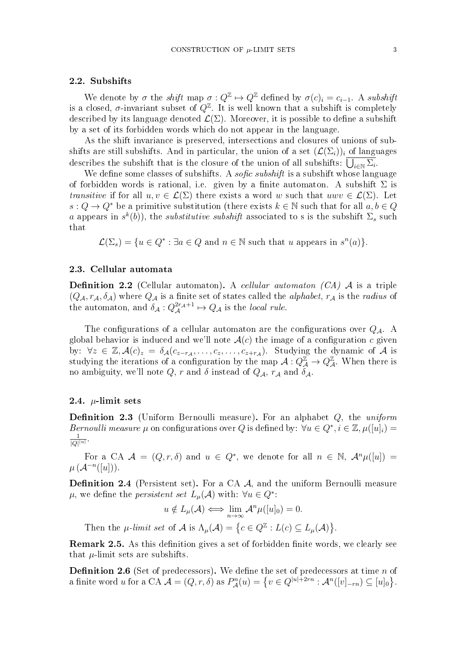#### 2.2. Subshifts

We denote by  $\sigma$  the shift map  $\sigma: Q^{\mathbb{Z}} \to Q^{\mathbb{Z}}$  defined by  $\sigma(c)_i = c_{i-1}$ . A subshift is a closed,  $\sigma$ -invariant subset of  $Q^{\mathbb{Z}}$ . It is well known that a subshift is completely described by its language denoted  $\mathcal{L}(\Sigma)$ . Moreover, it is possible to define a subshift by a set of its forbidden words which do not appear in the language.

As the shift invariance is preserved, intersections and closures of unions of subshifts are still subshifts. And in particular, the union of a set  $(\mathcal{L}(\Sigma_i))_i$  of languages describes the subshift that is the closure of the union of all subshifts:  $\bigcup_{i\in\mathbb{N}}\Sigma_i$ .

We define some classes of subshifts. A *sofic subshift* is a subshift whose language of forbidden words is rational, i.e. given by a finite automaton. A subshift  $\Sigma$  is transitive if for all  $u, v \in \mathcal{L}(\Sigma)$  there exists a word w such that  $uvw \in \mathcal{L}(\Sigma)$ . Let  $s: Q \to Q^*$  be a primitive substitution (there exists  $k \in \mathbb{N}$  such that for all  $a, b \in Q$ a appears in  $s^k(b)$ , the *substitutive subshift* associated to s is the subshift  $\Sigma_s$  such that

 $\mathcal{L}(\Sigma_s) = \{u \in Q^* : \exists a \in Q \text{ and } n \in \mathbb{N} \text{ such that } u \text{ appears in } s^n(a)\}.$ 

#### 2.3. Cellular automata

**Definition 2.2** (Cellular automaton). A cellular automaton (CA)  $\mathcal A$  is a triple  $(Q_A, r_A, \delta_A)$  where  $Q_A$  is a finite set of states called the *alphabet*,  $r_A$  is the *radius* of the automaton, and  $\delta_{\mathcal{A}}: Q_{\mathcal{A}}^{2r_{\mathcal{A}}+1} \mapsto Q_{\mathcal{A}}$  is the *local rule*.

The configurations of a cellular automaton are the configurations over  $Q_{\mathcal{A}}$ . A global behavior is induced and we'll note  $A(c)$  the image of a configuration c given by:  $\forall z \in \mathbb{Z}, \mathcal{A}(c)_z = \delta_{\mathcal{A}}(c_{z-r_{\mathcal{A}}}, \ldots, c_z, \ldots, c_{z+r_{\mathcal{A}}})$ . Studying the dynamic of  $\mathcal{A}$  is studying the iterations of a configuration by the map  $\mathcal{A}: Q^{\mathbb{Z}}_{\mathcal{A}} \to Q^{\mathbb{Z}}_{\mathcal{A}}$ . When there is no ambiguity, we'll note  $Q$ , r and  $\delta$  instead of  $Q_{\mathcal{A}}$ ,  $r_{\mathcal{A}}$  and  $\delta_{\mathcal{A}}$ .

### 2.4.  $\mu$ -limit sets

**Definition 2.3** (Uniform Bernoulli measure). For an alphabet  $Q$ , the uniform Bernoulli measure  $\mu$  on configurations over Q is defined by:  $\forall u \in Q^*, i \in \mathbb{Z}, \mu([u]_i) =$ 1  $\frac{1}{|Q|^{|u|}}$ .

For a CA  $\mathcal{A} = (Q, r, \delta)$  and  $u \in Q^*$ , we denote for all  $n \in \mathbb{N}$ ,  $\mathcal{A}^n\mu([u]) =$  $\mu\left(\mathcal{A}^{-n}([u])\right).$ 

**Definition 2.4** (Persistent set). For a CA  $\mathcal{A}$ , and the uniform Bernoulli measure  $\mu,$  we define the *persistent set*  $L_{\mu}(\mathcal{A})$  with:  $\forall u \in Q^*$ :

$$
u \notin L_{\mu}(\mathcal{A}) \Longleftrightarrow \lim_{n \to \infty} \mathcal{A}^n \mu([u]_0) = 0.
$$

Then the  $\mu$ -limit set of  $\mathcal A$  is  $\Lambda_\mu(\mathcal A) = \{c \in \mathcal Q^{\mathbb Z} : L(c) \subseteq L_\mu(\mathcal A)\}.$ 

**Remark 2.5.** As this definition gives a set of forbidden finite words, we clearly see that  $\mu$ -limit sets are subshifts.

**Definition 2.6** (Set of predecessors). We define the set of predecessors at time  $n$  of a finite word u for a CA  $\mathcal{A} = (Q, r, \delta)$  as  $P_{\mathcal{A}}^n(u) = \left\{ v \in Q^{|u|+2rn} : \mathcal{A}^n([v]_{-rn}) \subseteq [u]_0 \right\}.$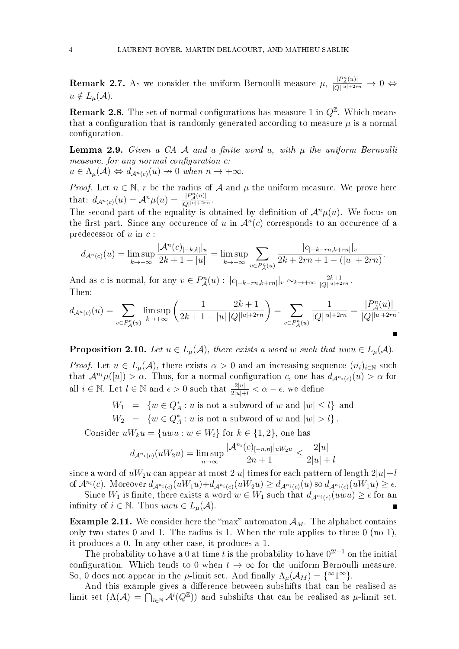**Remark 2.7.** As we consider the uniform Bernoulli measure  $\mu$ ,  $\frac{|P_A(u)|}{|O||u|+2r}$  $\frac{|P_{\mathcal{A}}(u)|}{|Q|^{|u|+2rn}} \to 0 \Leftrightarrow$  $u \notin L_{\mu}(\mathcal{A})$ .

**Remark 2.8.** The set of normal configurations has measure 1 in  $Q^{\mathbb{Z}}$ . Which means that a configuration that is randomly generated according to measure  $\mu$  is a normal configuration.

**Lemma 2.9.** Given a CA  $\mathcal A$  and a finite word u, with  $\mu$  the uniform Bernoulli measure, for any normal configuration  $c$ :  $u \in \Lambda_{\mu}(\mathcal{A}) \Leftrightarrow d_{\mathcal{A}^n(c)}(u) \to 0$  when  $n \to +\infty$ .

*Proof.* Let  $n \in \mathbb{N}$ , r be the radius of A and  $\mu$  the uniform measure. We prove here

that:  $d_{\mathcal{A}^n(c)}(u) = \mathcal{A}^n \mu(u) = \frac{|P_{\mathcal{A}}^n(u)|}{|Q|^{|u|+2r}}$  $\frac{|P_{\mathcal{A}}(u)|}{|Q| |u| + 2rn}$ . The second part of the equality is obtained by definition of  $\mathcal{A}^n\mu(u)$ . We focus on the first part. Since any occurence of u in  $\mathcal{A}^n(c)$  corresponds to an occurence of a predecessor of  $u$  in  $c$ :

$$
d_{\mathcal{A}^n(c)}(u) = \limsup_{k \to +\infty} \frac{|\mathcal{A}^n(c)|_{-k,k}|_u}{2k+1-|u|} = \limsup_{k \to +\infty} \sum_{v \in P^n_{\mathcal{A}}(u)} \frac{|c_{[-k-rn,k+rn]}|_v}{2k+2rn+1-(|u|+2rn)}.
$$

And as c is normal, for any  $v \in P_{\mathcal{A}}^n(u)$  :  $|c_{[-k-rn,k+rn]}|_v \sim_{k \to +\infty} \frac{2k+1}{|Q|^{|u|+2}}$  $\frac{2k+1}{|Q| |u|+2rn}$ . Then:

$$
d_{\mathcal{A}^n(c)}(u) = \sum_{v \in P^n_{\mathcal{A}}(u)} \limsup_{k \to +\infty} \left( \frac{1}{2k+1-|u|} \frac{2k+1}{|Q|^{|u|+2rn}} \right) = \sum_{v \in P^n_{\mathcal{A}}(u)} \frac{1}{|Q|^{|u|+2rn}} = \frac{|P^n_{\mathcal{A}}(u)|}{|Q|^{|u|+2rn}}.
$$

**Proposition 2.10.** Let  $u \in L_{\mu}(\mathcal{A})$ , there exists a word w such that uwu  $\in L_{\mu}(\mathcal{A})$ .

*Proof.* Let  $u \in L_{\mu}(\mathcal{A})$ , there exists  $\alpha > 0$  and an increasing sequence  $(n_i)_{i \in \mathbb{N}}$  such that  $\mathcal{A}^{n_i}\mu([u]) > \alpha$ . Thus, for a normal configuration c, one has  $d_{\mathcal{A}^{n_i}(c)}(u) > \alpha$  for all  $i \in \mathbb{N}$ . Let  $l \in \mathbb{N}$  and  $\epsilon > 0$  such that  $\frac{2|u|}{2|u|+l} < \alpha - \epsilon$ , we define

 $W_1 = \{w \in Q_A^* : u \text{ is not a subword of } w \text{ and } |w| \leq l\}$  and

 $W_2 = \{w \in Q_A^* : u \text{ is not a subword of } w \text{ and } |w| > l\}.$ 

Consider  $uW_k u = \{u w u : w \in W_i\}$  for  $k \in \{1,2\}$ , one has

$$
d_{\mathcal{A}^{n_i}(c)}(uW_2u) = \limsup_{n \to \infty} \frac{|\mathcal{A}^{n_i}(c)|_{[-n,n]}|_{uW_2u}}{2n+1} \le \frac{2|u|}{2|u|+l}
$$

since a word of  $uW_2u$  can appear at most  $2|u|$  times for each pattern of length  $2|u|+l$ of  $\mathcal{A}^{n_i}(c)$ . Moreover  $d_{\mathcal{A}^{n_i}(c)}(uW_1u)+d_{\mathcal{A}^{n_i}(c)}(uW_2u) \geq d_{\mathcal{A}^{n_i}(c)}(u)$  so  $d_{\mathcal{A}^{n_i}(c)}(uW_1u) \geq \epsilon$ .

Since  $W_1$  is finite, there exists a word  $w \in W_1$  such that  $d_{\mathcal{A}^{n_i}(c)}(uvw) \geq \epsilon$  for an infinity of  $i \in \mathbb{N}$ . Thus  $uvw \in L_{\mu}(\mathcal{A})$ .

**Example 2.11.** We consider here the "max" automaton  $\mathcal{A}_M$ . The alphabet contains only two states 0 and 1. The radius is 1. When the rule applies to three 0 (no 1), it produces a 0. In any other case, it produces a 1.

The probability to have a 0 at time t is the probability to have  $0^{2t+1}$  on the initial configuration. Which tends to 0 when  $t \to \infty$  for the uniform Bernoulli measure. So, 0 does not appear in the  $\mu$ -limit set. And finally  $\Lambda_{\mu}(\mathcal{A}_M) = \{^{\infty}1^{\infty}\}.$ 

And this example gives a difference between subshifts that can be realised as limit set  $(\Lambda(\mathcal{A}) = \bigcap_{i \in \mathbb{N}} \mathcal{A}^i(Q^{\mathbb{Z}}))$  and subshifts that can be realised as  $\mu$ -limit set.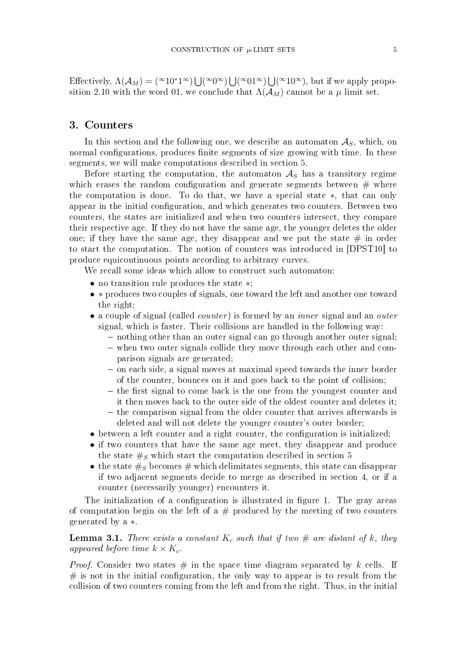Effectively,  $\Lambda(\mathcal{A}_M) = ({}^{\infty}10^*1{}^{\infty}) \bigcup ({}^{\infty}0{}^{\infty}) \bigcup ({}^{\infty}01{}^{\infty}) \bigcup ({}^{\infty}10{}^{\infty})$ , but if we apply proposition 2.10 with the word 01, we conclude that  $\Lambda(\mathcal{A}_M)$  cannot be a  $\mu$  limit set.

### 3. Counters

In this section and the following one, we describe an automaton  $A<sub>S</sub>$ , which, on normal configurations, produces finite segments of size growing with time. In these segments, we will make computations described in section 5.

Before starting the computation, the automaton  $A<sub>S</sub>$  has a transitory regime which erases the random configuration and generate segments between  $#$  where the computation is done. To do that, we have a special state ∗, that can only appear in the initial configuration, and which generates two counters. Between two counters, the states are initialized and when two counters intersect, they compare their respective age. If they do not have the same age, the younger deletes the older one; if they have the same age, they disappear and we put the state  $\#$  in order to start the computation. The notion of counters was introduced in [DPST10] to produce equicontinuous points according to arbitrary curves.

We recall some ideas which allow to construct such automaton:

- no transition rule produces the state ∗;
- ∗ produces two couples of signals, one toward the left and another one toward the right;
- a couple of signal (called *counter*) is formed by an *inner* signal and an *outer* signal, which is faster. Their collisions are handled in the following way:
	- $\sim$  nothing other than an outer signal can go through another outer signal;
	- when two outer signals collide they move through each other and comparison signals are generated;
	- $\sim$  on each side, a signal moves at maximal speed towards the inner border of the counter, bounces on it and goes back to the point of collision;
	- $-$  the first signal to come back is the one from the youngest counter and it then moves back to the outer side of the oldest counter and deletes it;
	- $\sim$  the comparison signal from the older counter that arrives afterwards is deleted and will not delete the younger counter's outer border;
- between a left counter and a right counter, the configuration is initialized;
- if two counters that have the same age meet, they disappear and produce the state  $\#_S$  which start the computation described in section 5
- the state  $\#_S$  becomes  $\#$  which delimitates segments, this state can disappear if two adjacent segments decide to merge as described in section 4, or if a counter (necessarily younger) encounters it.

The initialization of a configuration is illustrated in figure 1. The gray areas of computation begin on the left of a  $#$  produced by the meeting of two counters generated by a ∗.

## **Lemma 3.1.** There exists a constant  $K_c$  such that if two  $\#$  are distant of k, they appeared before time  $k \times K_c$ .

*Proof.* Consider two states  $\#$  in the space time diagram separated by k cells. If  $#$  is not in the initial configuration, the only way to appear is to result from the collision of two counters coming from the left and from the right. Thus, in the initial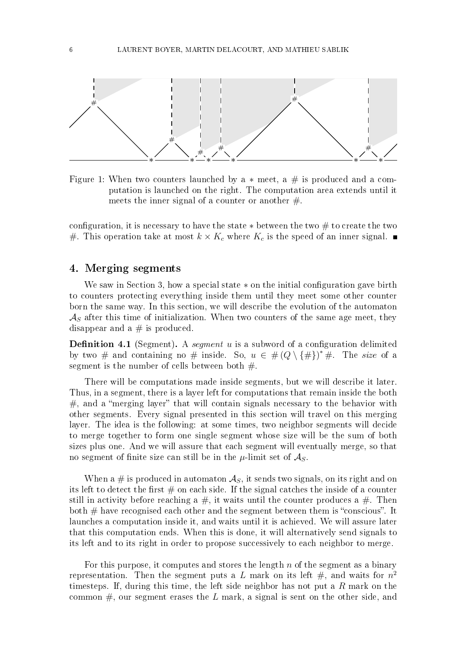

Figure 1: When two counters launched by a  $*$  meet, a  $\#$  is produced and a computation is launched on the right. The computation area extends until it meets the inner signal of a counter or another  $\#$ .

configuration, it is necessary to have the state  $\ast$  between the two  $\#$  to create the two #. This operation take at most  $k \times K_c$  where  $K_c$  is the speed of an inner signal.

## 4. Merging segments

We saw in Section 3, how a special state  $*$  on the initial configuration gave birth to counters protecting everything inside them until they meet some other counter born the same way. In this section, we will describe the evolution of the automaton  $\mathcal{A}_S$  after this time of initialization. When two counters of the same age meet, they disappear and a  $#$  is produced.

**Definition 4.1** (Segment). A segment u is a subword of a configuration delimited by two # and containing no # inside. So,  $u \in \#(Q \setminus \{\#\})^* \#$ . The size of a segment is the number of cells between both  $#$ .

There will be computations made inside segments, but we will describe it later. Thus, in a segment, there is a layer left for computations that remain inside the both  $#$ , and a "merging layer" that will contain signals necessary to the behavior with other segments. Every signal presented in this section will travel on this merging layer. The idea is the following: at some times, two neighbor segments will decide to merge together to form one single segment whose size will be the sum of both sizes plus one. And we will assure that each segment will eventually merge, so that no segment of finite size can still be in the  $\mu$ -limit set of  $\mathcal{A}_S$ .

When a # is produced in automaton  $\mathcal{A}_S$ , it sends two signals, on its right and on its left to detect the first  $#$  on each side. If the signal catches the inside of a counter still in activity before reaching a  $\#$ , it waits until the counter produces a  $\#$ . Then both  $#$  have recognised each other and the segment between them is "conscious". It launches a computation inside it, and waits until it is achieved. We will assure later that this computation ends. When this is done, it will alternatively send signals to its left and to its right in order to propose successively to each neighbor to merge.

For this purpose, it computes and stores the length  $n$  of the segment as a binary representation. Then the segment puts a L mark on its left  $\#$ , and waits for  $n^2$ timesteps. If, during this time, the left side neighbor has not put a  $R$  mark on the common  $#$ , our segment erases the L mark, a signal is sent on the other side, and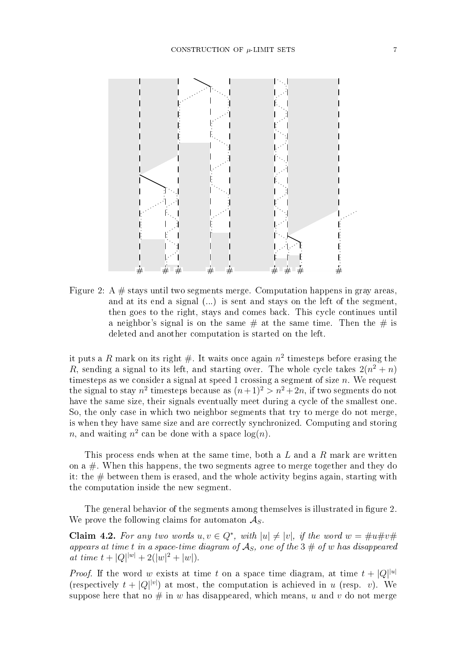

Figure 2: A  $\#$  stays until two segments merge. Computation happens in gray areas, and at its end a signal  $(...)$  is sent and stays on the left of the segment, then goes to the right, stays and comes back. This cycle continues until a neighbor's signal is on the same  $\#$  at the same time. Then the  $\#$  is deleted and another computation is started on the left.

it puts a R mark on its right #. It waits once again  $n^2$  timesteps before erasing the R, sending a signal to its left, and starting over. The whole cycle takes  $2(n^2 + n)$ timesteps as we consider a signal at speed 1 crossing a segment of size  $n$ . We request the signal to stay  $n^2$  timesteps because as  $(n+1)^2 > n^2 + 2n$ , if two segments do not have the same size, their signals eventually meet during a cycle of the smallest one. So, the only case in which two neighbor segments that try to merge do not merge, is when they have same size and are correctly synchronized. Computing and storing *n*, and waiting  $n^2$  can be done with a space  $log(n)$ .

This process ends when at the same time, both a  $L$  and a  $R$  mark are written on a  $\#$ . When this happens, the two segments agree to merge together and they do it: the  $\#$  between them is erased, and the whole activity begins again, starting with the computation inside the new segment.

The general behavior of the segments among themselves is illustrated in figure 2. We prove the following claims for automaton  $\mathcal{A}_{S}$ .

**Claim 4.2.** For any two words  $u, v \in Q^*$ , with  $|u| \neq |v|$ , if the word  $w = \#u \#v \#$ appears at time t in a space-time diagram of  $\mathcal{A}_S$ , one of the 3  $\#$  of w has disappeared at time  $t + |Q|^{|w|} + 2(|w|^2 + |w|)$ .

*Proof.* If the word w exists at time t on a space time diagram, at time  $t + |Q|^{u}$ (respectively  $t + |Q|^{|\nu|}$ ) at most, the computation is achieved in u (resp. v). We suppose here that no  $\#$  in w has disappeared, which means, u and v do not merge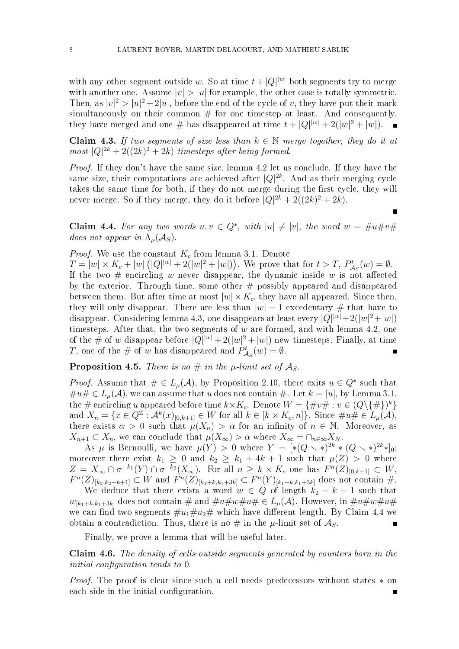with any other segment outside w. So at time  $t+|Q|^{w}$  both segments try to merge with another one. Assume  $|v| > |u|$  for example, the other case is totally symmetric. Then, as  $|v|^2 > |u|^2 + 2|u|$ , before the end of the cycle of v, they have put their mark simultaneously on their common  $#$  for one timestep at least. And consequently, they have merged and one # has disappeared at time  $t + |Q|^{|w|} + 2(|w|^2 + |w|)$ .

Claim 4.3. If two segments of size less than  $k \in \mathbb{N}$  merge together, they do it at  $most |Q|^{2k} + 2((2k)^{2} + 2k)$  timesteps after being formed.

Proof. If they don't have the same size, lemma 4.2 let us conclude. If they have the same size, their computations are achieved after  $|Q|^{2k}$ . And as their merging cycle takes the same time for both, if they do not merge during the first cycle, they will never merge. So if they merge, they do it before  $|Q|^{2k} + 2((2k)^2 + 2k)$ .

**Claim 4.4.** For any two words  $u, v \in Q^*$ , with  $|u| \neq |v|$ , the word  $w = \#u \#v \#$ does not appear in  $\Lambda_u(\mathcal{A}_S)$ .

*Proof.* We use the constant  $K_c$  from lemma 3.1. Denote

 $T = |w| \times K_c + |w| \left( |Q|^{|w|} + 2(|w|^2 + |w|) \right)$ . We prove that for  $t > T$ ,  $P^t_{\lambda}$  $\mathcal{L}_{\mathcal{A}_S}(w) = \emptyset.$ If the two  $\#$  encircling w never disappear, the dynamic inside w is not affected by the exterior. Through time, some other  $#$  possibly appeared and disappeared between them. But after time at most  $|w| \times K_c$ , they have all appeared. Since then, they will only disappear. There are less than  $|w| - 1$  excedentary # that have to disappear. Considering lemma 4.3, one disappears at least every  $|Q|^{|w|}+2(|w|^2+|w|)$ timesteps. After that, the two segments of  $w$  are formed, and with lemma 4.2, one of the # of w disappear before  $|Q|^{|w|} + 2(|w|^2 + |w|)$  new timesteps. Finally, at time T, one of the # of w has disappeared and  $P^t_{\lambda}$  $\mathcal{L}_{\mathcal{A}_S}(w) = \emptyset.$ 

**Proposition 4.5.** There is no  $\#$  in the  $\mu$ -limit set of  $\mathcal{A}_S$ .

*Proof.* Assume that  $\# \in L_{\mu}(\mathcal{A})$ , by Proposition 2.10, there exits  $u \in Q^*$  such that  $\#u\#\in L_\mu(\mathcal{A}),$  we can assume that u does not contain  $\#$ . Let  $k=|u|$ , by Lemma 3.1, the # encircling u appeared before time  $k\times K_c$ . Denote  $W=\{\#v\# : v\in (Q\backslash \{\#\})^k\}$ and  $X_n = \{x \in Q^{\mathbb{Z}} : \mathcal{A}^k(x)_{[0,k+1]} \in W \text{ for all } k \in [k \times K_c, n]\}.$  Since  $\#u \# \in L_{\mu}(\mathcal{A}),$ there exists  $\alpha > 0$  such that  $\mu(X_n) > \alpha$  for an infinity of  $n \in \mathbb{N}$ . Moreover, as  $X_{n+1} \subset X_n$ , we can conclude that  $\mu(X_{\infty}) > \alpha$  where  $X_{\infty} = \cap_{n \in \infty} X_N$ .

As  $\mu$  is Bernoulli, we have  $\mu(Y) > 0$  where  $Y = [*(Q \times *)^{2k} * (Q \times *)^{2k} *]_0;$ moreover there exist  $k_1 \geq 0$  and  $k_2 \geq k_1 + 4k + 1$  such that  $\mu(Z) > 0$  where  $Z = X_{\infty} \cap \sigma^{-k_1}(Y) \cap \sigma^{-k_2}(X_{\infty})$ . For all  $n \geq k \times K_c$  one has  $F^{n}(Z)_{[0,k+1]} \subset W$ ,  $F^{n}(Z)_{[k_2,k_2+k+1]} \subset W$  and  $F^{n}(Z)_{[k_1+k,k_1+3k]} \subset F^{n}(Y)_{[k_1+k,k_1+3k]}$  does not contain #.

We deduce that there exists a word  $w \in Q$  of length  $k_2 - k - 1$  such that  $w_{[k_1+k,k_1+3k]}$  does not contain  $\#$  and  $\#u\#w\#u\# \in L_\mu(\mathcal{A})$ . However, in  $\#u\#w\#u\#$ we can find two segments  $\#u_1\#u_2\#$  which have different length. By Claim 4.4 we obtain a contradiction. Thus, there is no  $\#$  in the  $\mu$ -limit set of  $\mathcal{A}_S$ .

Finally, we prove a lemma that will be useful later.

Claim 4.6. The density of cells outside segments generated by counters born in the initial configuration tends to 0.

Proof. The proof is clear since such a cell needs predecessors without states ∗ on each side in the initial configuration.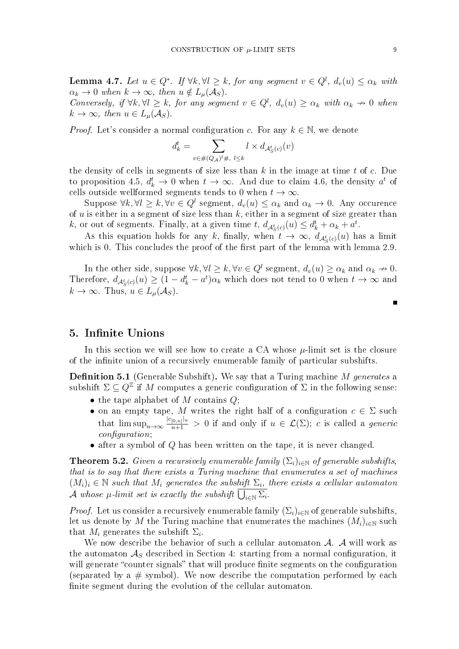**Lemma 4.7.** Let  $u \in Q^*$ . If  $\forall k, \forall l \geq k$ , for any segment  $v \in Q^l$ ,  $d_v(u) \leq \alpha_k$  with  $\alpha_k \to 0$  when  $k \to \infty$ , then  $u \notin L_\mu(\mathcal{A}_S)$ . Conversely, if  $\forall k, \forall l \geq k$ , for any segment  $v \in Q^l$ ,  $d_v(u) \geq \alpha_k$  with  $\alpha_k \nrightarrow 0$  when  $k \to \infty$ , then  $u \in L_u(\mathcal{A}_S)$ .

*Proof.* Let's consider a normal configuration c. For any  $k \in \mathbb{N}$ , we denote

$$
d_k^t = \sum_{v \in \#(Q_{\mathcal{A}})^t \#,\ l \leq k} l \times d_{\mathcal{A}_{S}^t(c)}(v)
$$

the density of cells in segments of size less than  $k$  in the image at time  $t$  of  $c$ . Due to proposition 4.5,  $d_k^t \to 0$  when  $t \to \infty$ . And due to claim 4.6, the density  $a^t$  of cells outside wellformed segments tends to 0 when  $t \to \infty$ .

Suppose  $\forall k, \forall l \geq k, \forall v \in Q^l$  segment,  $d_v(u) \leq \alpha_k$  and  $\alpha_k \to 0$ . Any occurence of  $u$  is either in a segment of size less than  $k$ , either in a segment of size greater than k, or out of segments. Finally, at a given time t,  $d_{\mathcal{A}_{S}^{t}(c)}(u) \leq d_{k}^{t} + \alpha_{k} + a^{t}$ .

As this equation holds for any k, finally, when  $t \to \infty$ ,  $d_{\mathcal{A}_{S}^{t}(c)}(u)$  has a limit which is 0. This concludes the proof of the first part of the lemma with lemma 2.9.

In the other side, suppose  $\forall k, \forall l \geq k, \forall v \in Q^l$  segment,  $d_v(u) \geq \alpha_k$  and  $\alpha_k \to 0$ . Therefore,  $d_{\mathcal{A}_{S}^{t}(c)}(u) \geq (1-d_{k}^{t}-a^{t})\alpha_{k}$  which does not tend to 0 when  $t \to \infty$  and  $k \to \infty$ . Thus,  $u \in L_{\mu}(\mathcal{A}_S)$ .

### 5. Infinite Unions

In this section we will see how to create a CA whose  $\mu$ -limit set is the closure of the infinite union of a recursively enumerable family of particular subshifts.

**Definition 5.1** (Generable Subshift). We say that a Turing machine  $M$  generates a subshift  $\Sigma \subseteq Q^{\mathbb{Z}}$  if M computes a generic configuration of  $\Sigma$  in the following sense:

- the tape alphabet of  $M$  contains  $Q$ ;
- on an empty tape, M writes the right half of a configuration  $c \in \Sigma$  such that  $\limsup_{n\to\infty} \frac{|c_{[0,n]}|_u}{n+1} > 0$  if and only if  $u \in \mathcal{L}(\Sigma)$ ; c is called a *generic*  $confquration;$
- after a symbol of Q has been written on the tape, it is never changed.

**Theorem 5.2.** Given a recursively enumerable family  $(\Sigma_i)_{i\in\mathbb{N}}$  of generable subshifts, that is to say that there exists a Turing machine that enumerates a set of machines  $(M_i)_i \in \mathbb{N}$  such that  $M_i$  generates the subshift  $\Sigma_i$ , there exists a cellular automator A whose  $\mu$ -limit set is exactly the subshift  $\bigcup_{i\in\mathbb{N}}\Sigma_i$ .

*Proof.* Let us consider a recursively enumerable family  $(\Sigma_i)_{i\in\mathbb{N}}$  of generable subshifts, let us denote by M the Turing machine that enumerates the machines  $(M_i)_{i\in\mathbb{N}}$  such that  $M_i$  generates the subshift  $\Sigma_i$ .

We now describe the behavior of such a cellular automaton  $A$ .  $A$  will work as the automaton  $\mathcal{A}_S$  described in Section 4: starting from a normal configuration, it will generate "counter signals" that will produce finite segments on the configuration (separated by a  $\#$  symbol). We now describe the computation performed by each nite segment during the evolution of the cellular automaton.

 $\blacksquare$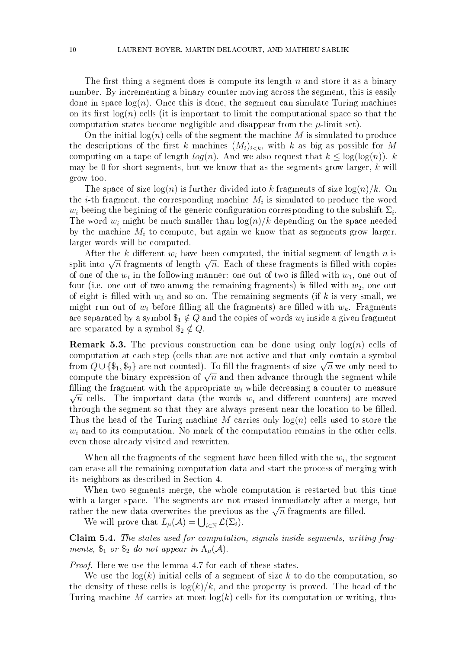The first thing a segment does is compute its length  $n$  and store it as a binary number. By incrementing a binary counter moving across the segment, this is easily done in space  $log(n)$ . Once this is done, the segment can simulate Turing machines on its first  $log(n)$  cells (it is important to limit the computational space so that the computation states become negligible and disappear from the  $\mu$ -limit set).

On the initial  $log(n)$  cells of the segment the machine M is simulated to produce the descriptions of the first k machines  $(M_i)_{i\leq k}$ , with k as big as possible for M computing on a tape of length  $log(n)$ . And we also request that  $k \leq log(log(n))$ . k may be 0 for short segments, but we know that as the segments grow larger,  $k$  will grow too.

The space of size  $log(n)$  is further divided into k fragments of size  $log(n)/k$ . On the *i*-th fragment, the corresponding machine  $M_i$  is simulated to produce the word  $w_i$  beeing the begining of the generic configuration corresponding to the subshift  $\Sigma_i$ . The word  $w_i$  might be much smaller than  $\log(n)/k$  depending on the space needed by the machine  $M_i$  to compute, but again we know that as segments grow larger, larger words will be computed.

After the k different  $w_i$  have been computed, the initial segment of length n is split into  $\sqrt{n}$  fragments of length  $\sqrt{n}$ . Each of these fragments is filled with copies of one of the  $w_i$  in the following manner: one out of two is filled with  $w_1$ , one out of four (i.e. one out of two among the remaining fragments) is filled with  $w_2$ , one out of eight is filled with  $w_3$  and so on. The remaining segments (if k is very small, we might run out of  $w_i$  before filling all the fragments) are filled with  $w_k$ . Fragments are separated by a symbol  $\$_1\notin Q$  and the copies of words  $w_i$  inside a given fragment are separated by a symbol  $\$_2 \notin Q$ .

**Remark 5.3.** The previous construction can be done using only  $log(n)$  cells of computation at each step (cells that are not active and that only contain a symbol computation at each step (cens that are not active and that omy contain a symbol<br>from  $Q\cup \{\$_1,\$_2\}$  are not counted). To fill the fragments of size  $\sqrt{n}$  we only need to Trom  $Q \cup {\mathfrak d}_1, {\mathfrak d}_2$  are not counted). To fill the tragments of size  $\sqrt{n}$  we omy need to compute the binary expression of  $\sqrt{n}$  and then advance through the segment while filling the fragment with the appropriate  $w_i$  while decreasing a counter to measure  $\sqrt{n}$  cells. The important data (the words  $w_i$  and different counters) are moved through the segment so that they are always present near the location to be filled. Thus the head of the Turing machine M carries only  $log(n)$  cells used to store the  $w<sub>i</sub>$  and to its computation. No mark of the computation remains in the other cells, even those already visited and rewritten.

When all the fragments of the segment have been filled with the  $w_i$ , the segment can erase all the remaining computation data and start the process of merging with its neighbors as described in Section 4.

When two segments merge, the whole computation is restarted but this time with a larger space. The segments are not erased immediately after a merge, but with a larger space. The segments are not erased immediately after a me<br>rather the new data overwrites the previous as the  $\sqrt{n}$  fragments are filled.

We will prove that  $L_{\mu}(\mathcal{A}) = \bigcup_{i \in \mathbb{N}} \mathcal{L}(\Sigma_i)$ .

Claim 5.4. The states used for computation, signals inside segments, writing fragments,  $\$_1$  or  $\$_2$  do not appear in  $\Lambda_\mu(\mathcal{A})$ .

Proof. Here we use the lemma 4.7 for each of these states.

We use the  $log(k)$  initial cells of a segment of size k to do the computation, so the density of these cells is  $\log(k)/k$ , and the property is proved. The head of the Turing machine M carries at most  $log(k)$  cells for its computation or writing, thus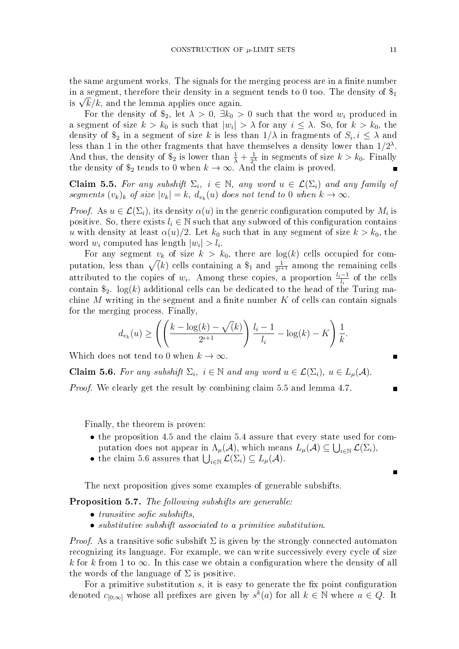the same argument works. The signals for the merging process are in a finite number in a segment, therefore their density in a segment tends to 0 too. The density of  $\hat{\mathcal{F}}_1$ in a segment, therefore their density in a seg<br>is  $\sqrt{k}/k,$  and the lemma applies once again.

For the density of  $\hat{\mathfrak{s}}_2$ , let  $\lambda > 0$ ,  $\exists k_0 > 0$  such that the word  $w_i$  produced in a segment of size  $k > k_0$  is such that  $|w_i| > \lambda$  for any  $i \leq \lambda$ . So, for  $k > k_0$ , the density of  $\$_2$  in a segment of size k is less than  $1/\lambda$  in fragments of  $S_i, i \leq \lambda$  and less than 1 in the other fragments that have themselves a density lower than  $1/2^{\lambda}$ . And thus, the density of  $\hat{\mathcal{S}}_2$  is lower than  $\frac{1}{\lambda} + \frac{1}{2^2}$  $\frac{1}{2^{\lambda}}$  in segments of size  $k > k_0$ . Finally the density of  $\$_2$  tends to 0 when  $k \to \infty$ . And the claim is proved.

**Claim 5.5.** For any subshift  $\Sigma_i$ ,  $i \in \mathbb{N}$ , any word  $u \in \mathcal{L}(\Sigma_i)$  and any family of segments  $(v_k)_k$  of size  $|v_k| = k$ ,  $d_{v_k}(u)$  does not tend to 0 when  $k \to \infty$ .

*Proof.* As  $u \in \mathcal{L}(\Sigma_i)$ , its density  $\alpha(u)$  in the generic configuration computed by  $M_i$  is positive. So, there exists  $l_i \in \mathbb{N}$  such that any subword of this configuration contains u with density at least  $\alpha(u)/2$ . Let  $k_0$  such that in any segment of size  $k > k_0$ , the word  $w_i$  computed has length  $|w_i| > l_i$ .

For any segment  $v_k$  of size  $k > k_0$ , there are  $log(k)$  cells occupied for computation, less than  $\sqrt(k)$  cells containing a  $\frac{1}{2^{i+1}}$  among the remaining cells attributed to the copies of  $w_i$ . Among these copies, a proportion  $\frac{l_i-1}{l_i}$  of the cells contain  $\hat{\mathbb{S}}_2$ . log(k) additional cells can be dedicated to the head of the Turing machine M writing in the segment and a finite number  $K$  of cells can contain signals for the merging process. Finally,

$$
d_{v_k}(u) \ge \left( \left( \frac{k - \log(k) - \sqrt(k)}{2^{i+1}} \right) \frac{l_i - 1}{l_i} - \log(k) - K \right) \frac{1}{k}.
$$

Which does not tend to 0 when  $k \to \infty$ .

**Claim 5.6.** For any subshift  $\Sigma_i$ ,  $i \in \mathbb{N}$  and any word  $u \in \mathcal{L}(\Sigma_i)$ ,  $u \in L_{\mu}(\mathcal{A})$ .

Proof. We clearly get the result by combining claim 5.5 and lemma 4.7.

Finally, the theorem is proven:

- the proposition 4.5 and the claim 5.4 assure that every state used for computation does not appear in  $\Lambda_{\mu}(\mathcal{A})$ , which means  $L_{\mu}(\mathcal{A}) \subseteq \bigcup_{i \in \mathbb{N}} \mathcal{L}(\Sigma_i)$ ,
- the claim 5.6 assures that  $\bigcup_{i\in\mathbb{N}}\mathcal{L}(\Sigma_i)\subseteq L_{\mu}(\mathcal{A})$ .

The next proposition gives some examples of generable subshifts.

Proposition 5.7. The following subshifts are generable:

- $\bullet$  transitive sofic subshifts.
- substitutive subshift associated to a primitive substitution.

*Proof.* As a transitive sofic subshift  $\Sigma$  is given by the strongly connected automaton recognizing its language. For example, we can write successively every cycle of size k for k from 1 to  $\infty$ . In this case we obtain a configuration where the density of all the words of the language of  $\Sigma$  is positive.

For a primitive substitution  $s$ , it is easy to generate the fix point configuration denoted  $c_{[0,\infty]}$  whose all prefixes are given by  $s^{\overline{k}}(a)$  for all  $k \in \mathbb{N}$  where  $a \in Q$ . It